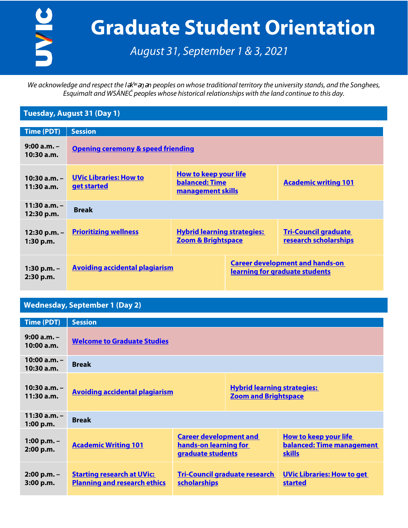UVIC

# **Graduate Student Orientation**

*August 31, September 1 & 3, 2021*

*We acknowledge and respect the l* $\forall x$ <sup>*i*</sup> and peoples on whose traditional territory the university stands, and the Songhees, *Esquimalt and WSÁNEĆ peoples whose historical relationships with the land continue to this day.*

## **Tuesday, August 31 (Day 1)**

| Time (PDT)                  | <b>Session</b>                                      |                                                                            |                                                                          |                                                      |  |
|-----------------------------|-----------------------------------------------------|----------------------------------------------------------------------------|--------------------------------------------------------------------------|------------------------------------------------------|--|
| $9:00 a.m. -$<br>10:30a.m.  | <b>Opening ceremony &amp; speed friending</b>       |                                                                            |                                                                          |                                                      |  |
| $10:30a.m. -$<br>11:30a.m.  | <b>UVic Libraries: How to</b><br><u>get started</u> | <b>How to keep your life</b><br><b>balanced: Time</b><br>management skills |                                                                          | <b>Academic writing 101</b>                          |  |
| $11:30a.m. -$<br>12:30 p.m. | <b>Break</b>                                        |                                                                            |                                                                          |                                                      |  |
| $12:30 p.m. -$<br>1:30 p.m. | <b>Prioritizing wellness</b>                        | <b>Hybrid learning strategies:</b><br><b>Zoom &amp; Brightspace</b>        |                                                                          | <b>Tri-Council graduate</b><br>research scholarships |  |
| $1:30 p.m. -$<br>2:30 p.m.  | <b>Avoiding accidental plagiarism</b>               |                                                                            | <b>Career development and hands-on</b><br>learning for graduate students |                                                      |  |

### **Wednesday, September 1 (Day 2)**

| <b>Time (PDT)</b>             | <b>Session</b>                                                           |                                                                             |                                                                   |                                                                            |  |
|-------------------------------|--------------------------------------------------------------------------|-----------------------------------------------------------------------------|-------------------------------------------------------------------|----------------------------------------------------------------------------|--|
| $9:00a.m. -$<br>10:00 a.m.    | <b>Welcome to Graduate Studies</b>                                       |                                                                             |                                                                   |                                                                            |  |
| $10:00 a.m. -$<br>10:30 a.m.  | <b>Break</b>                                                             |                                                                             |                                                                   |                                                                            |  |
| $10:30$ a.m. $-$<br>11:30a.m. | <b>Avoiding accidental plagiarism</b>                                    |                                                                             | <b>Hybrid learning strategies:</b><br><b>Zoom and Brightspace</b> |                                                                            |  |
| $11:30$ a.m. $-$<br>1:00 p.m. | <b>Break</b>                                                             |                                                                             |                                                                   |                                                                            |  |
| 1:00 p.m. $-$<br>2:00 p.m.    | <b>Academic Writing 101</b>                                              | <b>Career development and</b><br>hands-on learning for<br>graduate students |                                                                   | <b>How to keep your life</b><br>balanced: Time management<br><b>skills</b> |  |
| $2:00 p.m. -$<br>3:00 p.m.    | <b>Starting research at UVic:</b><br><b>Planning and research ethics</b> | <b>Tri-Council graduate research</b><br><b>scholarships</b>                 |                                                                   | <b>UVic Libraries: How to get</b><br><b>started</b>                        |  |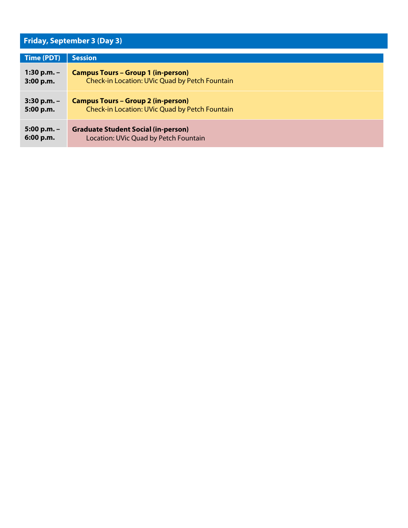# **Friday, September 3 (Day 3)**

| Time (PDT)    | <b>Session</b>                                 |
|---------------|------------------------------------------------|
| 1:30 p.m. $-$ | <b>Campus Tours - Group 1 (in-person)</b>      |
| 3:00 p.m.     | Check-in Location: UVic Quad by Petch Fountain |
| $3:30$ p.m. - | <b>Campus Tours - Group 2 (in-person)</b>      |
| 5:00 p.m.     | Check-in Location: UVic Quad by Petch Fountain |
| $5:00 p.m. -$ | <b>Graduate Student Social (in-person)</b>     |
| 6:00 p.m.     | Location: UVic Quad by Petch Fountain          |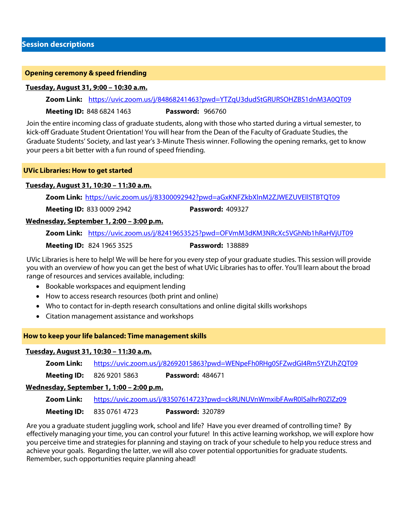#### **Opening ceremony & speed friending**

#### **Tuesday, August 31, 9:00 – 10:30 a.m.**

**Zoom Link:** <https://uvic.zoom.us/j/84868241463?pwd=YTZqU3dudStGRURSOHZBS1dnM3A0QT09>

**Meeting ID:** 848 6824 1463 **Password:** 966760

Join the entire incoming class of graduate students, along with those who started during a virtual semester, to kick-off Graduate Student Orientation! You will hear from the Dean of the Faculty of Graduate Studies, the Graduate Students' Society, and last year's 3-Minute Thesis winner. Following the opening remarks, get to know your peers a bit better with a fun round of speed friending.

#### **UVic Libraries: How to get started**

#### **Tuesday, August 31, 10:30 – 11:30 a.m.**

**Zoom Link:** <https://uvic.zoom.us/j/83300092942?pwd=aGxKNFZkbXlnM2ZJWEZUVEllSTBTQT09>

**Meeting ID:** 833 0009 2942 **Password:** 409327

#### **Wednesday, September 1, 2:00 – 3:00 p.m.**

**Zoom Link:** <https://uvic.zoom.us/j/82419653525?pwd=OFVmM3dKM3NRcXc5VGhNb1hRaHVjUT09>

#### **Meeting ID:** 824 1965 3525 **Password:** 138889

UVic Libraries is here to help! We will be here for you every step of your graduate studies. This session will provide you with an overview of how you can get the best of what UVic Libraries has to offer. You'll learn about the broad range of resources and services available, including:

- Bookable workspaces and equipment lending
- How to access research resources (both print and online)
- Who to contact for in-depth research consultations and online digital skills workshops
- Citation management assistance and workshops

#### **How to keep your life balanced: Time management skills**

#### **Tuesday, August 31, 10:30 – 11:30 a.m.**

**Zoom Link:** <https://uvic.zoom.us/j/82692015863?pwd=WENpeFh0RHg0SFZwdGI4Rm5YZUhZQT09>

**Meeting ID:** 826 9201 5863 **Password:** 484671

#### **Wednesday, September 1, 1:00 – 2:00 p.m.**

**Zoom Link:** <https://uvic.zoom.us/j/83507614723?pwd=ckRUNUVnWmxibFAwR0lSalhrR0ZlZz09>

**Meeting ID:** 835 0761 4723 **Password:** 320789

Are you a graduate student juggling work, school and life? Have you ever dreamed of controlling time? By effectively managing your time, you can control your future! In this active learning workshop, we will explore how you perceive time and strategies for planning and staying on track of your schedule to help you reduce stress and achieve your goals. Regarding the latter, we will also cover potential opportunities for graduate students. Remember, such opportunities require planning ahead!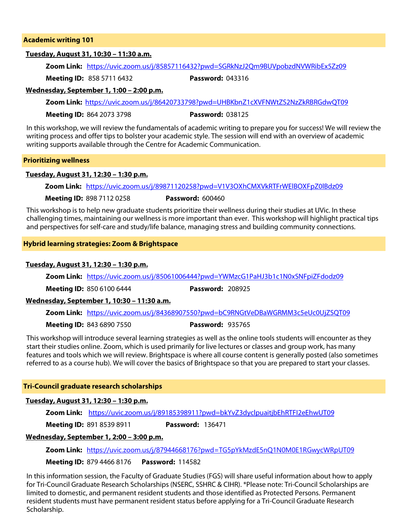#### **Academic writing 101**

#### **Tuesday, August 31, 10:30 – 11:30 a.m.**

**Zoom Link:** <https://uvic.zoom.us/j/85857116432?pwd=SGRkNzJ2Qm9BUVpobzdNVWRibEx5Zz09>

**Meeting ID:** 858 5711 6432 **Password:** 043316

#### **Wednesday, September 1, 1:00 – 2:00 p.m.**

**Zoom Link:** <https://uvic.zoom.us/j/86420733798?pwd=UHBKbnZ1cXVFNWtZS2NzZkRBRGdwQT09>

**Meeting ID:** 864 2073 3798 **Password:** 038125

In this workshop, we will review the fundamentals of academic writing to prepare you for success! We will review the writing process and offer tips to bolster your academic style. The session will end with an overview of academic writing supports available through the Centre for Academic Communication.

#### **Prioritizing wellness**

#### **Tuesday, August 31, 12:30 – 1:30 p.m.**

**Zoom Link:** <https://uvic.zoom.us/j/89871120258?pwd=V1V3OXhCMXVkRTFrWElBOXFpZ0lBdz09>

**Meeting ID:** 898 7112 0258 **Password:** 600460

This workshop is to help new graduate students prioritize their wellness during their studies at UVic. In these challenging times, maintaining our wellness is more important than ever. This workshop will highlight practical tips and perspectives for self-care and study/life balance, managing stress and building community connections.

#### **Hybrid learning strategies: Zoom & Brightspace**

#### **Tuesday, August 31, 12:30 – 1:30 p.m.**

**Zoom Link:** <https://uvic.zoom.us/j/85061006444?pwd=YWMzcG1PaHJ3b1c1N0xSNFpiZFdodz09>

**Meeting ID:** 850 6100 6444 **Password:** 208925

#### **Wednesday, September 1, 10:30 – 11:30 a.m.**

**Zoom Link:** <https://uvic.zoom.us/j/84368907550?pwd=bC9RNGtVeDBaWGRMM3c5eUc0UjZSQT09>

**Meeting ID:** 843 6890 7550 **Password:** 935765

This workshop will introduce several learning strategies as well as the online tools students will encounter as they start their studies online. Zoom, which is used primarily for live lectures or classes and group work, has many features and tools which we will review. Brightspace is where all course content is generally posted (also sometimes referred to as a course hub). We will cover the basics of Brightspace so that you are prepared to start your classes.

#### **Tri-Council graduate research scholarships**

#### **Tuesday, August 31, 12:30 – 1:30 p.m.**

**Zoom Link:** <https://uvic.zoom.us/j/89185398911?pwd=bkYvZ3dyclpuaitjbEhRTFI2eEhwUT09>

**Meeting ID:** 891 8539 8911 **Password:** 136471

#### **Wednesday, September 1, 2:00 – 3:00 p.m.**

**Zoom Link:** <https://uvic.zoom.us/j/87944668176?pwd=TG5pYkMzdE5nQ1N0M0E1RGwycWRpUT09>

**Meeting ID:** 879 4466 8176 **Password:** 114582

In this information session, the Faculty of Graduate Studies (FGS) will share useful information about how to apply for Tri-Council Graduate Research Scholarships (NSERC, SSHRC & CIHR). \*Please note: Tri-Council Scholarships are limited to domestic, and permanent resident students and those identified as Protected Persons. Permanent resident students must have permanent resident status before applying for a Tri-Council Graduate Research Scholarship.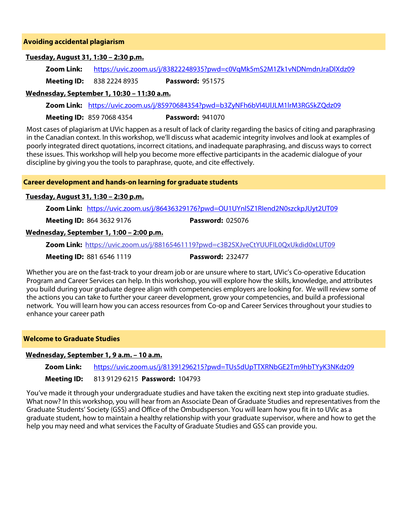#### **Avoiding accidental plagiarism**

#### **Tuesday, August 31, 1:30 – 2:30 p.m.**

**Zoom Link:** <https://uvic.zoom.us/j/83822248935?pwd=c0VqMk5mS2M1Zk1vNDNmdnJraDlXdz09>

**Meeting ID:** 838 2224 8935 **Password:** 951575

#### **Wednesday, September 1, 10:30 – 11:30 a.m.**

**Zoom Link:** <https://uvic.zoom.us/j/85970684354?pwd=b3ZyNFh6bVl4UlJLM1lrM3RGSkZQdz09>

**Meeting ID:** 859 7068 4354 **Password:** 941070

Most cases of plagiarism at UVic happen as a result of lack of clarity regarding the basics of citing and paraphrasing in the Canadian context. In this workshop, we'll discuss what academic integrity involves and look at examples of poorly integrated direct quotations, incorrect citations, and inadequate paraphrasing, and discuss ways to correct these issues. This workshop will help you become more effective participants in the academic dialogue of your discipline by giving you the tools to paraphrase, quote, and cite effectively.

#### **Career development and hands-on learning for graduate students**

#### **Tuesday, August 31, 1:30 – 2:30 p.m.**

**Zoom Link:** <https://uvic.zoom.us/j/86436329176?pwd=OU1UYnlSZ1RIend2N0szckpJUyt2UT09>

**Meeting ID:** 864 3632 9176 **Password:** 025076

#### **Wednesday, September 1, 1:00 – 2:00 p.m.**

**Zoom Link:** <https://uvic.zoom.us/j/88165461119?pwd=c3B2SXJveCtYUUFIL0QxUkdid0xLUT09>

**Meeting ID:** 881 6546 1119 **Password:** 232477

Whether you are on the fast-track to your dream job or are unsure where to start, UVic's Co-operative Education Program and Career Services can help. In this workshop, you will explore how the skills, knowledge, and attributes you build during your graduate degree align with competencies employers are looking for. We will review some of the actions you can take to further your career development, grow your competencies, and build a professional network. You will learn how you can access resources from Co-op and Career Services throughout your studies to enhance your career path

#### **Welcome to Graduate Studies**

#### **Wednesday, September 1, 9 a.m. – 10 a.m.**

**Zoom Link:** <https://uvic.zoom.us/j/81391296215?pwd=TUs5dUpTTXRNbGE2Tm9hbTYyK3NKdz09>

#### **Meeting ID:** 813 9129 6215 **Password:** 104793

You've made it through your undergraduate studies and have taken the exciting next step into graduate studies. What now? In this workshop, you will hear from an Associate Dean of Graduate Studies and representatives from the Graduate Students' Society (GSS) and Office of the Ombudsperson. You will learn how you fit in to UVic as a graduate student, how to maintain a healthy relationship with your graduate supervisor, where and how to get the help you may need and what services the Faculty of Graduate Studies and GSS can provide you.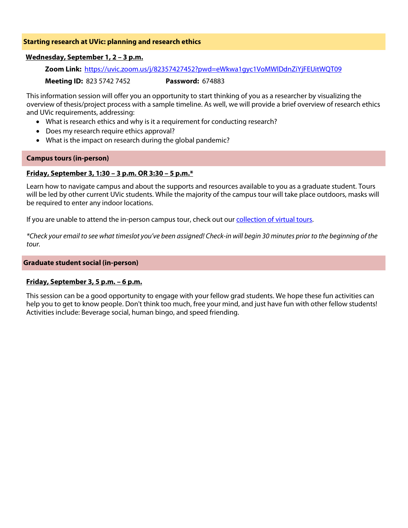#### **Starting research at UVic: planning and research ethics**

#### **Wednesday, September 1, 2 – 3 p.m.**

**Zoom Link:** <https://uvic.zoom.us/j/82357427452?pwd=eWkwa1gyc1VoMWlDdnZiYjFEUitWQT09>

**Meeting ID:** 823 5742 7452 **Password:** 674883

This information session will offer you an opportunity to start thinking of you as a researcher by visualizing the overview of thesis/project process with a sample timeline. As well, we will provide a brief overview of research ethics and UVic requirements, addressing:

- What is research ethics and why is it a requirement for conducting research?
- Does my research require ethics approval?
- What is the impact on research during the global pandemic?

#### **Campus tours (in-person)**

#### **Friday, September 3, 1:30 – 3 p.m. OR 3:30 – 5 p.m.\***

Learn how to navigate campus and about the supports and resources available to you as a graduate student. Tours will be led by other current UVic students. While the majority of the campus tour will take place outdoors, masks will be required to enter any indoor locations.

If you are unable to attend the in-person campus tour, check out our collection of virtual tours.

*\*Check your email to see what timeslot you've been assigned! Check-in will begin 30 minutes prior to the beginning of the tour.*

#### **Graduate student social (in-person)**

#### **Friday, September 3, 5 p.m. – 6 p.m.**

This session can be a good opportunity to engage with your fellow grad students. We hope these fun activities can help you to get to know people. Don't think too much, free your mind, and just have fun with other fellow students! Activities include: Beverage social, human bingo, and speed friending.